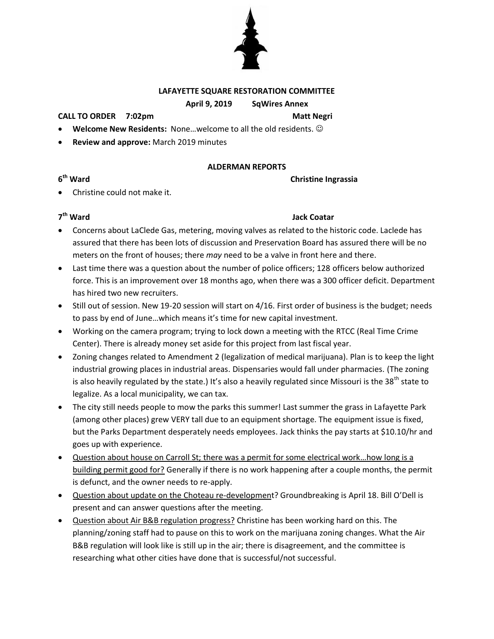

# **LAFAYETTE SQUARE RESTORATION COMMITTEE**

# **April 9, 2019 SqWires Annex**

### **CALL TO ORDER 7:02pm Matt Negri**

- **Welcome New Residents:** None…welcome to all the old residents.
- **Review and approve:** March 2019 minutes

## **ALDERMAN REPORTS**

**Christine Ingrassia** 

Christine could not make it.

# 7<sup>th</sup> Ward

**6**

# **Jack Coatar**

- Concerns about LaClede Gas, metering, moving valves as related to the historic code. Laclede has assured that there has been lots of discussion and Preservation Board has assured there will be no meters on the front of houses; there *may* need to be a valve in front here and there.
- Last time there was a question about the number of police officers; 128 officers below authorized force. This is an improvement over 18 months ago, when there was a 300 officer deficit. Department has hired two new recruiters.
- Still out of session. New 19-20 session will start on 4/16. First order of business is the budget; needs to pass by end of June…which means it's time for new capital investment.
- Working on the camera program; trying to lock down a meeting with the RTCC (Real Time Crime Center). There is already money set aside for this project from last fiscal year.
- Zoning changes related to Amendment 2 (legalization of medical marijuana). Plan is to keep the light industrial growing places in industrial areas. Dispensaries would fall under pharmacies. (The zoning is also heavily regulated by the state.) It's also a heavily regulated since Missouri is the 38<sup>th</sup> state to legalize. As a local municipality, we can tax.
- The city still needs people to mow the parks this summer! Last summer the grass in Lafayette Park (among other places) grew VERY tall due to an equipment shortage. The equipment issue is fixed, but the Parks Department desperately needs employees. Jack thinks the pay starts at \$10.10/hr and goes up with experience.
- Question about house on Carroll St; there was a permit for some electrical work…how long is a building permit good for? Generally if there is no work happening after a couple months, the permit is defunct, and the owner needs to re-apply.
- Question about update on the Choteau re-development? Groundbreaking is April 18. Bill O'Dell is present and can answer questions after the meeting.
- Question about Air B&B regulation progress? Christine has been working hard on this. The planning/zoning staff had to pause on this to work on the marijuana zoning changes. What the Air B&B regulation will look like is still up in the air; there is disagreement, and the committee is researching what other cities have done that is successful/not successful.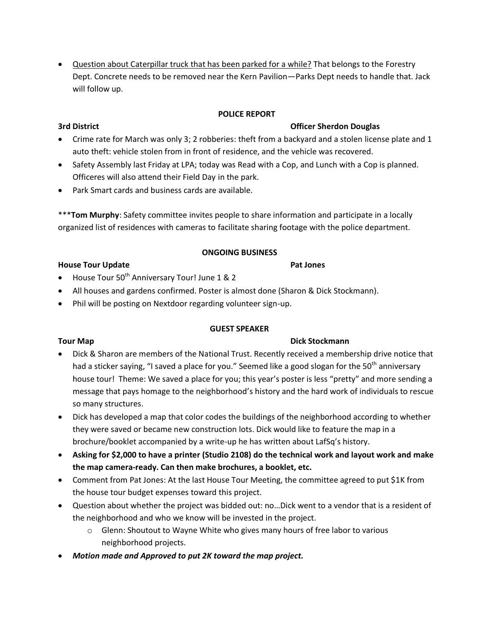Question about Caterpillar truck that has been parked for a while? That belongs to the Forestry Dept. Concrete needs to be removed near the Kern Pavilion—Parks Dept needs to handle that. Jack will follow up.

# **POLICE REPORT**

# **3rd District Officer Sherdon Douglas**

- Crime rate for March was only 3; 2 robberies: theft from a backyard and a stolen license plate and 1 auto theft: vehicle stolen from in front of residence, and the vehicle was recovered.
- Safety Assembly last Friday at LPA; today was Read with a Cop, and Lunch with a Cop is planned. Officeres will also attend their Field Day in the park.
- Park Smart cards and business cards are available.

\*\*\***Tom Murphy**: Safety committee invites people to share information and participate in a locally organized list of residences with cameras to facilitate sharing footage with the police department.

# **ONGOING BUSINESS**

# **House Tour Update Pat Jones**

- $\bullet$  House Tour 50<sup>th</sup> Anniversary Tour! June 1 & 2
- All houses and gardens confirmed. Poster is almost done (Sharon & Dick Stockmann).
- Phil will be posting on Nextdoor regarding volunteer sign-up.

# **GUEST SPEAKER**

# **Tour Map Dick Stockmann**

- 
- Dick & Sharon are members of the National Trust. Recently received a membership drive notice that had a sticker saying, "I saved a place for you." Seemed like a good slogan for the 50<sup>th</sup> anniversary house tour! Theme: We saved a place for you; this year's poster is less "pretty" and more sending a message that pays homage to the neighborhood's history and the hard work of individuals to rescue so many structures.
- Dick has developed a map that color codes the buildings of the neighborhood according to whether they were saved or became new construction lots. Dick would like to feature the map in a brochure/booklet accompanied by a write-up he has written about LafSq's history.
- **Asking for \$2,000 to have a printer (Studio 2108) do the technical work and layout work and make the map camera-ready. Can then make brochures, a booklet, etc.**
- Comment from Pat Jones: At the last House Tour Meeting, the committee agreed to put \$1K from the house tour budget expenses toward this project.
- Question about whether the project was bidded out: no…Dick went to a vendor that is a resident of the neighborhood and who we know will be invested in the project.
	- $\circ$  Glenn: Shoutout to Wayne White who gives many hours of free labor to various neighborhood projects.
- *Motion made and Approved to put 2K toward the map project.*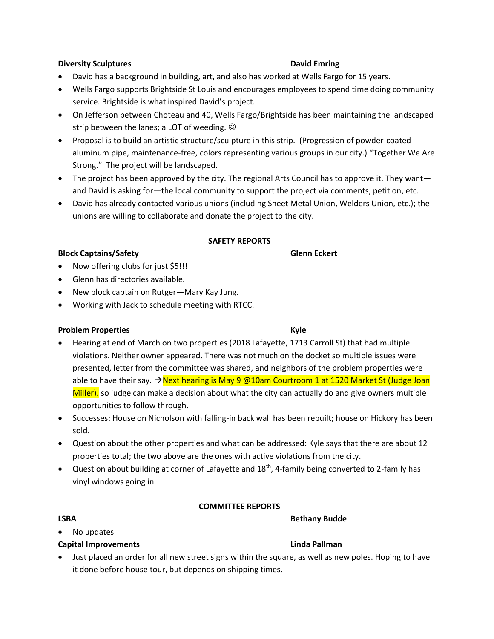## **Diversity Sculptures David Emring**

- David has a background in building, art, and also has worked at Wells Fargo for 15 years.
- Wells Fargo supports Brightside St Louis and encourages employees to spend time doing community service. Brightside is what inspired David's project.
- On Jefferson between Choteau and 40, Wells Fargo/Brightside has been maintaining the landscaped strip between the lanes; a LOT of weeding.  $\odot$
- Proposal is to build an artistic structure/sculpture in this strip. (Progression of powder-coated aluminum pipe, maintenance-free, colors representing various groups in our city.) "Together We Are Strong." The project will be landscaped.
- The project has been approved by the city. The regional Arts Council has to approve it. They want and David is asking for—the local community to support the project via comments, petition, etc.
- David has already contacted various unions (including Sheet Metal Union, Welders Union, etc.); the unions are willing to collaborate and donate the project to the city.

### **SAFETY REPORTS**

### **Block Captains/Safety Glenn Eckert**

- Now offering clubs for just \$5!!!
- Glenn has directories available.
- New block captain on Rutger—Mary Kay Jung.
- Working with Jack to schedule meeting with RTCC.

### **Problem Properties Kyle**

- Hearing at end of March on two properties (2018 Lafayette, 1713 Carroll St) that had multiple violations. Neither owner appeared. There was not much on the docket so multiple issues were presented, letter from the committee was shared, and neighbors of the problem properties were able to have their say.  $\rightarrow$  Next hearing is May 9 @10am Courtroom 1 at 1520 Market St (Judge Joan Miller). so judge can make a decision about what the city can actually do and give owners multiple opportunities to follow through.
- Successes: House on Nicholson with falling-in back wall has been rebuilt; house on Hickory has been sold.
- Question about the other properties and what can be addressed: Kyle says that there are about 12 properties total; the two above are the ones with active violations from the city.
- $\bullet$  Question about building at corner of Lafayette and 18<sup>th</sup>, 4-family being converted to 2-family has vinyl windows going in.

### **COMMITTEE REPORTS**

### LSBA Bethany Budde

- No updates
- **Capital Improvements Linda Pallman**
- Just placed an order for all new street signs within the square, as well as new poles. Hoping to have it done before house tour, but depends on shipping times.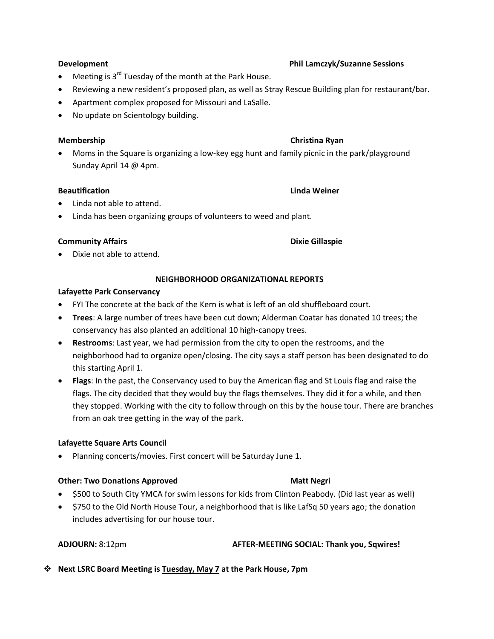- $\bullet$  Meeting is 3<sup>rd</sup> Tuesday of the month at the Park House.
- Reviewing a new resident's proposed plan, as well as Stray Rescue Building plan for restaurant/bar.
- Apartment complex proposed for Missouri and LaSalle.
- No update on Scientology building.

## **Membership Christian Ryan**

 Moms in the Square is organizing a low-key egg hunt and family picnic in the park/playground Sunday April 14 @ 4pm.

## **Beautification Linda Weiner**

- Linda not able to attend.
- Linda has been organizing groups of volunteers to weed and plant.

## **Community Affairs Access 2018 12 Community Affairs** Access 2018 2019 12:00 2018 2019 2019 2019 2019 2019 2019 20

# **NEIGHBORHOOD ORGANIZATIONAL REPORTS**

## **Lafayette Park Conservancy**

Dixie not able to attend.

- FYI The concrete at the back of the Kern is what is left of an old shuffleboard court.
- **Trees**: A large number of trees have been cut down; Alderman Coatar has donated 10 trees; the conservancy has also planted an additional 10 high-canopy trees.
- **Restrooms**: Last year, we had permission from the city to open the restrooms, and the neighborhood had to organize open/closing. The city says a staff person has been designated to do this starting April 1.
- **Flags**: In the past, the Conservancy used to buy the American flag and St Louis flag and raise the flags. The city decided that they would buy the flags themselves. They did it for a while, and then they stopped. Working with the city to follow through on this by the house tour. There are branches from an oak tree getting in the way of the park.

### **Lafayette Square Arts Council**

Planning concerts/movies. First concert will be Saturday June 1.

### **Other: Two Donations Approved <b>Matt Negri** Matt Negri

- \$500 to South City YMCA for swim lessons for kids from Clinton Peabody. (Did last year as well)
- \$750 to the Old North House Tour, a neighborhood that is like LafSq 50 years ago; the donation includes advertising for our house tour.

# **ADJOURN:** 8:12pm **AFTER-MEETING SOCIAL: Thank you, Sqwires!**

**Next LSRC Board Meeting is Tuesday, May 7 at the Park House, 7pm**

# **Development Phil Lamczyk/Suzanne Sessions**